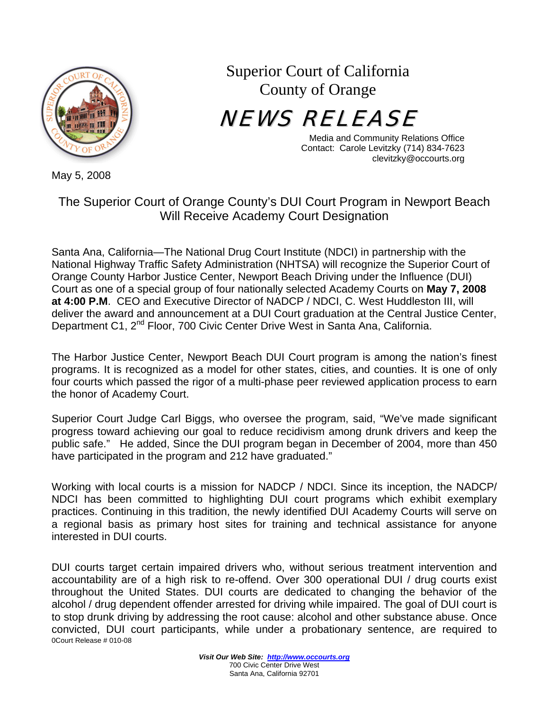

Superior Court of California County of Orange

NEWS RELEASE

Media and Community Relations Office Contact: Carole Levitzky (714) 834-7623 clevitzky@occourts.org

May 5, 2008

## The Superior Court of Orange County's DUI Court Program in Newport Beach Will Receive Academy Court Designation

Santa Ana, California—The National Drug Court Institute (NDCI) in partnership with the National Highway Traffic Safety Administration (NHTSA) will recognize the Superior Court of Orange County Harbor Justice Center, Newport Beach Driving under the Influence (DUI) Court as one of a special group of four nationally selected Academy Courts on **May 7, 2008 at 4:00 P.M**. CEO and Executive Director of NADCP / NDCI, C. West Huddleston III, will deliver the award and announcement at a DUI Court graduation at the Central Justice Center, Department C1, 2<sup>nd</sup> Floor, 700 Civic Center Drive West in Santa Ana, California.

The Harbor Justice Center, Newport Beach DUI Court program is among the nation's finest programs. It is recognized as a model for other states, cities, and counties. It is one of only four courts which passed the rigor of a multi-phase peer reviewed application process to earn the honor of Academy Court.

Superior Court Judge Carl Biggs, who oversee the program, said, "We've made significant progress toward achieving our goal to reduce recidivism among drunk drivers and keep the public safe." He added, Since the DUI program began in December of 2004, more than 450 have participated in the program and 212 have graduated."

Working with local courts is a mission for NADCP / NDCI. Since its inception, the NADCP/ NDCI has been committed to highlighting DUI court programs which exhibit exemplary practices. Continuing in this tradition, the newly identified DUI Academy Courts will serve on a regional basis as primary host sites for training and technical assistance for anyone interested in DUI courts.

0Court Release # 010-08 DUI courts target certain impaired drivers who, without serious treatment intervention and accountability are of a high risk to re-offend. Over 300 operational DUI / drug courts exist throughout the United States. DUI courts are dedicated to changing the behavior of the alcohol / drug dependent offender arrested for driving while impaired. The goal of DUI court is to stop drunk driving by addressing the root cause: alcohol and other substance abuse. Once convicted, DUI court participants, while under a probationary sentence, are required to